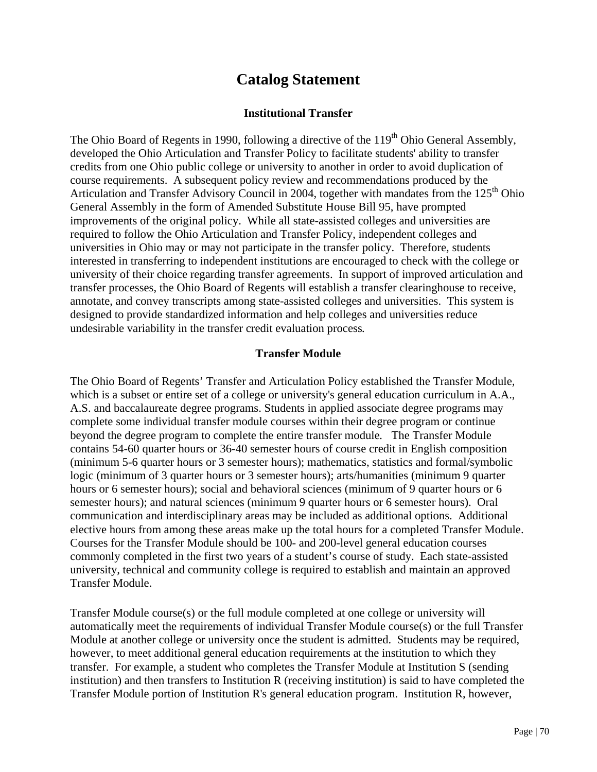# **Catalog Statement**

## **nstitutional Transfer I**

The Ohio Board of Regents in 1990, following a directive of the 119<sup>th</sup> Ohio General Assembly, developed the Ohio Articulation and Transfer Policy to facilitate students' ability to transfer credits from one Ohio public college or university to another in order to avoid duplication of course requirements. A subsequent policy review and recommendations produced by the Articulation and Transfer Advisory Council in 2004, together with mandates from the  $125<sup>th</sup>$  Ohio General Assembly in the form of Amended Substitute House Bill 95, have prompted improvements of the original policy. While all state-assisted colleges and universities are required to follow the Ohio Articulation and Transfer Policy, independent colleges and universities in Ohio may or may not participate in the transfer policy. Therefore*,* students interested in transferring to independent institutions are encouraged to check with the college or university of their choice regarding transfer agreements. In support of improved articulation and transfer processes, the Ohio Board of Regents will establish a transfer clearinghouse to receive, annotate, and convey transcripts among state-assisted colleges and universities. This system is designed to provide standardized information and help colleges and universities reduce undesirable variability in the transfer credit evaluation process*.*

#### **Transfer Module**

The Ohio Board of Regents' Transfer and Articulation Policy established the Transfer Module*,*  which is a subset or entire set of a college or university's general education curriculum in A.A., A.S. and baccalaureate degree programs. Students in applied associate degree programs may complete some individual transfer module courses within their degree program or continue beyond the degree program to complete the entire transfer module*.* The Transfer Module contains 54-60 quarter hours or 36-40 semester hours of course credit in English composition (minimum 5-6 quarter hours or 3 semester hours); mathematics, statistics and formal/symbolic logic (minimum of 3 quarter hours or 3 semester hours); arts/humanities (minimum 9 quarter hours or 6 semester hours); social and behavioral sciences (minimum of 9 quarter hours or 6 semester hours); and natural sciences (minimum 9 quarter hours or 6 semester hours). Oral communication and interdisciplinary areas may be included as additional options. Additional elective hours from among these areas make up the total hours for a completed Transfer Module. Courses for the Transfer Module should be 100- and 200-level general education courses commonly completed in the first two years of a student's course of study. Each state-assisted university*,* technical and community college is required to establish and maintain an approved Transfer Module.

Transfer Module course(s) or the full module completed at one college or university will automatically meet the requirements of individual Transfer Module course(s) or the full Transfer Module at another college or university once the student is admitted. Students may be required, however, to meet additional general education requirements at the institution to which they transfer. For example, a student who completes the Transfer Module at Institution S (sending institution) and then transfers to Institution R (receiving institution) is said to have completed the Transfer Module portion of Institution R's general education program. Institution R, however,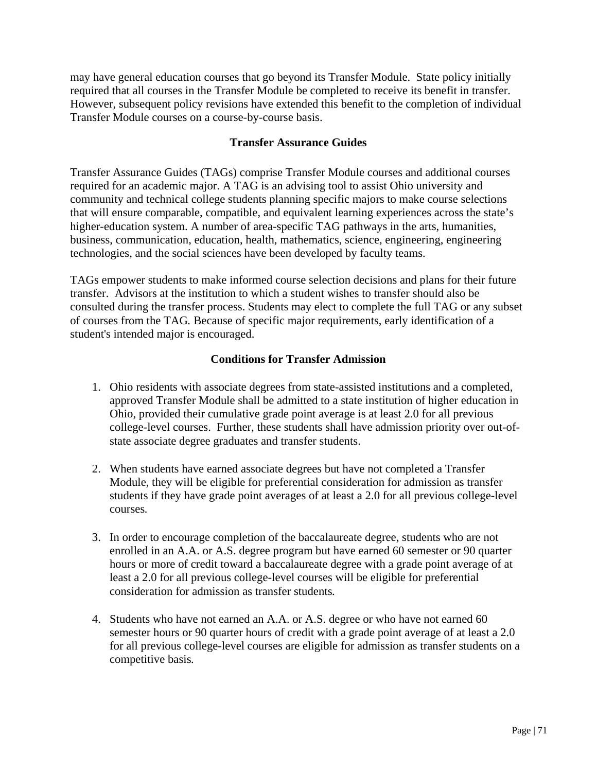may have general education courses that go beyond its Transfer Module. State policy initially required that all courses in the Transfer Module be completed to receive its benefit in transfer. However, subsequent policy revisions have extended this benefit to the completion of individual Transfer Module courses on a course -by-course basis.

### **Transfer Assurance Guides**

that will ensure comparable, compatible, and equivalent learning experiences across the state's business, communication, education, health, mathematics, science, engineering, engineering Transfer Assurance Guides (TAGs) comprise Transfer Module courses and additional courses required for an academic major. A TAG is an advising tool to assist Ohio university and community and technical college students planning specific majors to make course selections higher-education system. A number of area-specific TAG pathways in the arts, humanities, technologies, and the social sciences have been developed by faculty teams.

consulted during the transfer process. Students may elect to complete the full TAG or any subset of courses from the TAG. Because of specific major requirements, early identification of a TAGs empower students to make informed course selection decisions and plans for their future transfer. Advisors at the institution to which a student wishes to transfer should also be student's intended major is encouraged.

#### **Conditions for Transfer Admission**

- college-level courses. Further, these students shall have admission priority over out-of-1. Ohio residents with associate degrees from state-assisted institutions and a completed, approved Transfer Module shall be admitted to a state institution of higher education in Ohio, provided their cumulative grade point average is at least 2.0 for all previous state associate degree graduates and transfer students.
- students if they have grade point averages of at least a 2.0 for all previous college-level 2. When students have earned associate degrees but have not completed a Transfer Module*,* they will be eligible for preferential consideration for admission as transfer courses*.*
- consideration for admission as transfer students. 3. In order to encourage completion of the baccalaureate degree, students who are not enrolled in an A.A. or A.S. degree program but have earned 60 semester or 90 quarter hours or more of credit toward a baccalaureate degree with a grade point average of at least a 2.0 for all previous college-level courses will be eligible for preferential
- 4. Students who have not earned an A.A. or A.S. degree or who have not earned 60 semester hours or 90 quarter hours of credit with a grade point average of at least a 2.0 for all previous college-level courses are eligible for admission as transfer students on a competitive basis*.*